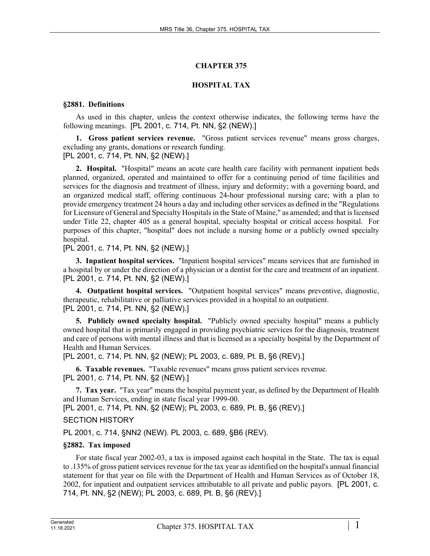# **CHAPTER 375**

# **HOSPITAL TAX**

#### **§2881. Definitions**

As used in this chapter, unless the context otherwise indicates, the following terms have the following meanings. [PL 2001, c. 714, Pt. NN, §2 (NEW).]

**1. Gross patient services revenue.** "Gross patient services revenue" means gross charges, excluding any grants, donations or research funding. [PL 2001, c. 714, Pt. NN, §2 (NEW).]

**2. Hospital.** "Hospital" means an acute care health care facility with permanent inpatient beds planned, organized, operated and maintained to offer for a continuing period of time facilities and services for the diagnosis and treatment of illness, injury and deformity; with a governing board, and an organized medical staff, offering continuous 24-hour professional nursing care; with a plan to provide emergency treatment 24 hours a day and including other services as defined in the "Regulations for Licensure of General and Specialty Hospitals in the State of Maine," as amended; and that is licensed under Title 22, chapter 405 as a general hospital, specialty hospital or critical access hospital. For purposes of this chapter, "hospital" does not include a nursing home or a publicly owned specialty hospital.

[PL 2001, c. 714, Pt. NN, §2 (NEW).]

**3. Inpatient hospital services.** "Inpatient hospital services" means services that are furnished in a hospital by or under the direction of a physician or a dentist for the care and treatment of an inpatient. [PL 2001, c. 714, Pt. NN, §2 (NEW).]

**4. Outpatient hospital services.** "Outpatient hospital services" means preventive, diagnostic, therapeutic, rehabilitative or palliative services provided in a hospital to an outpatient. [PL 2001, c. 714, Pt. NN, §2 (NEW).]

**5. Publicly owned specialty hospital.** "Publicly owned specialty hospital" means a publicly owned hospital that is primarily engaged in providing psychiatric services for the diagnosis, treatment and care of persons with mental illness and that is licensed as a specialty hospital by the Department of Health and Human Services.

[PL 2001, c. 714, Pt. NN, §2 (NEW); PL 2003, c. 689, Pt. B, §6 (REV).]

**6. Taxable revenues.** "Taxable revenues" means gross patient services revenue. [PL 2001, c. 714, Pt. NN, §2 (NEW).]

**7. Tax year.** "Tax year" means the hospital payment year, as defined by the Department of Health and Human Services, ending in state fiscal year 1999-00.

[PL 2001, c. 714, Pt. NN, §2 (NEW); PL 2003, c. 689, Pt. B, §6 (REV).]

SECTION HISTORY

PL 2001, c. 714, §NN2 (NEW). PL 2003, c. 689, §B6 (REV).

# **§2882. Tax imposed**

For state fiscal year 2002-03, a tax is imposed against each hospital in the State. The tax is equal to .135% of gross patient services revenue for the tax year as identified on the hospital's annual financial statement for that year on file with the Department of Health and Human Services as of October 18, 2002, for inpatient and outpatient services attributable to all private and public payors. [PL 2001, c. 714, Pt. NN, §2 (NEW); PL 2003, c. 689, Pt. B, §6 (REV).]